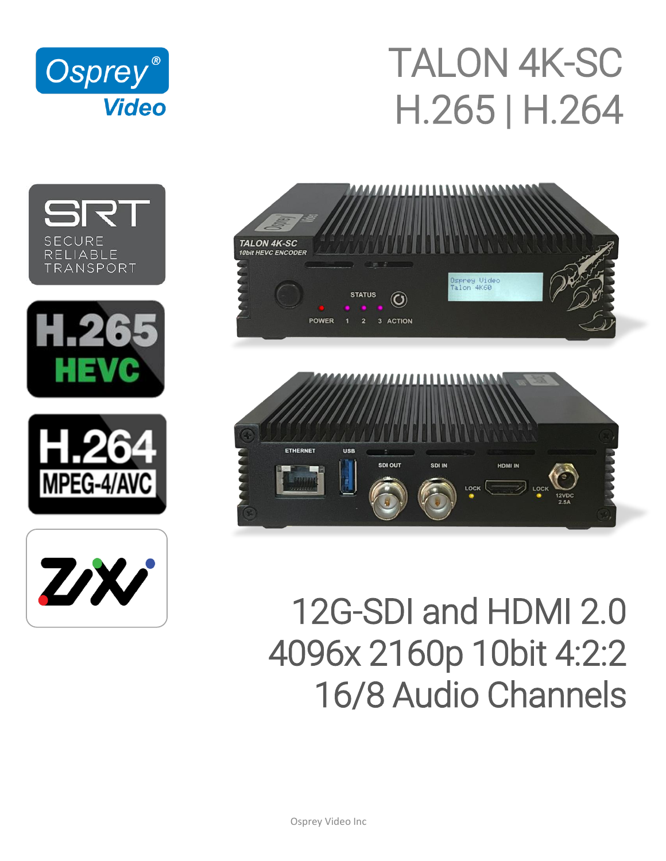

# TALON 4K-SC H.265 | H.264













# 12G-SDI and HDMI 2.0 4096x 2160p 10bit 4:2:2 16/8 Audio Channels